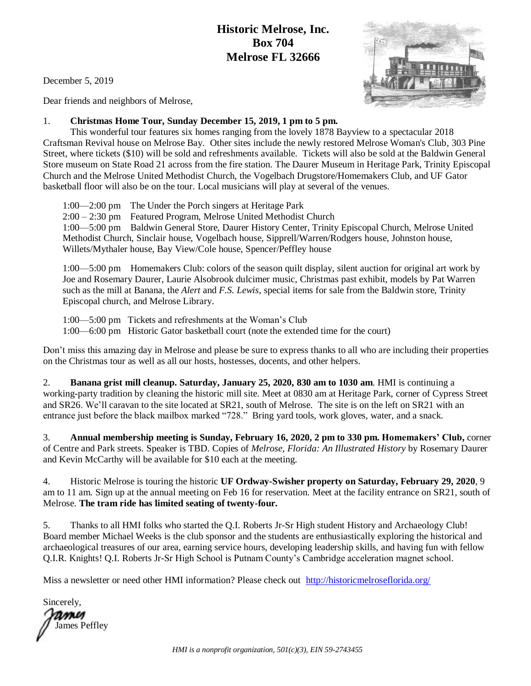## **Historic Melrose, Inc. Box 704 Melrose FL 32666**

December 5, 2019

Dear friends and neighbors of Melrose,

## 1. **Christmas Home Tour, Sunday December 15, 2019, 1 pm to 5 pm.**

This wonderful tour features six homes ranging from the lovely 1878 Bayview to a spectacular 2018 Craftsman Revival house on Melrose Bay. Other sites include the newly restored Melrose Woman's Club, 303 Pine Street, where tickets (\$10) will be sold and refreshments available. Tickets will also be sold at the Baldwin General Store museum on State Road 21 across from the fire station. The Daurer Museum in Heritage Park, Trinity Episcopal Church and the Melrose United Methodist Church, the Vogelbach Drugstore/Homemakers Club, and UF Gator basketball floor will also be on the tour. Local musicians will play at several of the venues.

1:00—2:00 pm The Under the Porch singers at Heritage Park 2:00 – 2:30 pm Featured Program, Melrose United Methodist Church 1:00—5:00 pm Baldwin General Store, Daurer History Center, Trinity Episcopal Church, Melrose United Methodist Church, Sinclair house, Vogelbach house, Sipprell/Warren/Rodgers house, Johnston house, Willets/Mythaler house, Bay View/Cole house, Spencer/Peffley house

1:00—5:00 pm Homemakers Club: colors of the season quilt display, silent auction for original art work by Joe and Rosemary Daurer, Laurie Alsobrook dulcimer music, Christmas past exhibit, models by Pat Warren such as the mill at Banana, the *Alert* and *F.S. Lewis,* special items for sale from the Baldwin store, Trinity Episcopal church, and Melrose Library.

1:00—5:00 pm Tickets and refreshments at the Woman's Club 1:00—6:00 pm Historic Gator basketball court (note the extended time for the court)

Don't miss this amazing day in Melrose and please be sure to express thanks to all who are including their properties on the Christmas tour as well as all our hosts, hostesses, docents, and other helpers.

2. **Banana grist mill cleanup. Saturday, January 25, 2020, 830 am to 1030 am**. HMI is continuing a working-party tradition by cleaning the historic mill site. Meet at 0830 am at Heritage Park, corner of Cypress Street and SR26. We'll caravan to the site located at SR21, south of Melrose. The site is on the left on SR21 with an entrance just before the black mailbox marked "728." Bring yard tools, work gloves, water, and a snack.

3. **Annual membership meeting is Sunday, February 16, 2020, 2 pm to 330 pm. Homemakers' Club,** corner of Centre and Park streets. Speaker is TBD. Copies of *Melrose, Florida: An Illustrated History* by Rosemary Daurer and Kevin McCarthy will be available for \$10 each at the meeting.

4. Historic Melrose is touring the historic **UF Ordway-Swisher property on Saturday, February 29, 2020**, 9 am to 11 am. Sign up at the annual meeting on Feb 16 for reservation. Meet at the facility entrance on SR21, south of Melrose. **The tram ride has limited seating of twenty-four.**

5. Thanks to all HMI folks who started the Q.I. Roberts Jr-Sr High student History and Archaeology Club! Board member Michael Weeks is the club sponsor and the students are enthusiastically exploring the historical and archaeological treasures of our area, earning service hours, developing leadership skills, and having fun with fellow Q.I.R. Knights! Q.I. Roberts Jr-Sr High School is Putnam County's Cambridge acceleration magnet school.

Miss a newsletter or need other HMI information? Please check out <http://historicmelroseflorida.org/>

Sincerely, ames James Peffley

*HMI is a nonprofit organization, 501(c)(3), EIN 59-2743455*